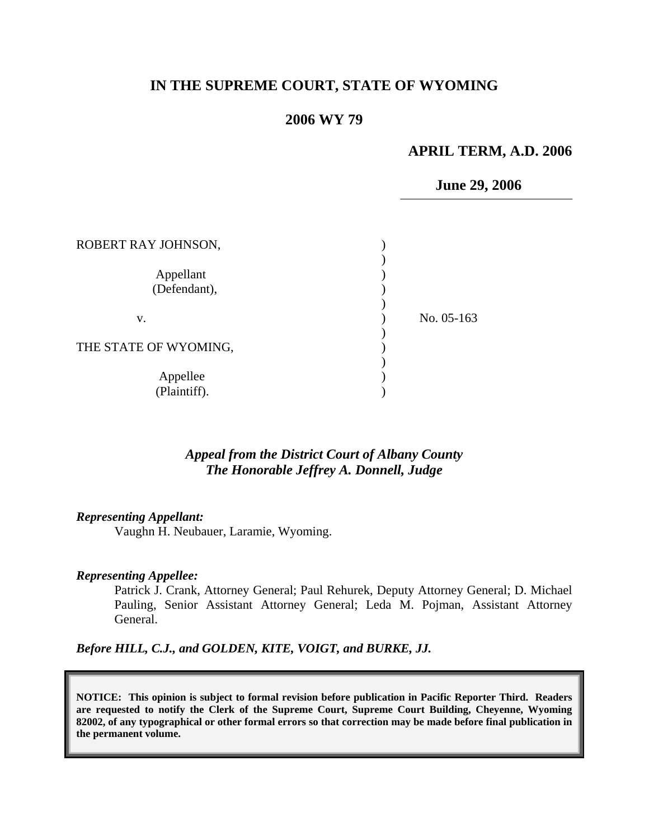# **IN THE SUPREME COURT, STATE OF WYOMING**

## **2006 WY 79**

#### **APRIL TERM, A.D. 2006**

 **June 29, 2006**

| ROBERT RAY JOHNSON,       |            |
|---------------------------|------------|
| Appellant<br>(Defendant), |            |
| V.                        | No. 05-163 |
| THE STATE OF WYOMING,     |            |
| Appellee<br>(Plaintiff).  |            |

## *Appeal from the District Court of Albany County The Honorable Jeffrey A. Donnell, Judge*

#### *Representing Appellant:*

Vaughn H. Neubauer, Laramie, Wyoming.

#### *Representing Appellee:*

Patrick J. Crank, Attorney General; Paul Rehurek, Deputy Attorney General; D. Michael Pauling, Senior Assistant Attorney General; Leda M. Pojman, Assistant Attorney General.

*Before HILL, C.J., and GOLDEN, KITE, VOIGT, and BURKE, JJ.* 

**NOTICE: This opinion is subject to formal revision before publication in Pacific Reporter Third. Readers are requested to notify the Clerk of the Supreme Court, Supreme Court Building, Cheyenne, Wyoming 82002, of any typographical or other formal errors so that correction may be made before final publication in the permanent volume.**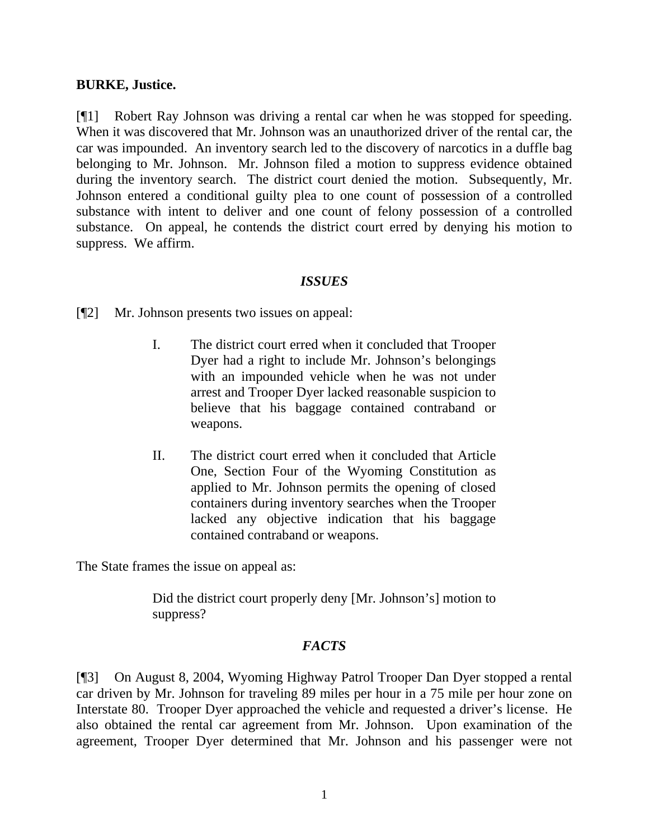### **BURKE, Justice.**

[¶1] Robert Ray Johnson was driving a rental car when he was stopped for speeding. When it was discovered that Mr. Johnson was an unauthorized driver of the rental car, the car was impounded. An inventory search led to the discovery of narcotics in a duffle bag belonging to Mr. Johnson. Mr. Johnson filed a motion to suppress evidence obtained during the inventory search. The district court denied the motion. Subsequently, Mr. Johnson entered a conditional guilty plea to one count of possession of a controlled substance with intent to deliver and one count of felony possession of a controlled substance. On appeal, he contends the district court erred by denying his motion to suppress. We affirm.

#### *ISSUES*

[¶2] Mr. Johnson presents two issues on appeal:

- I. The district court erred when it concluded that Trooper Dyer had a right to include Mr. Johnson's belongings with an impounded vehicle when he was not under arrest and Trooper Dyer lacked reasonable suspicion to believe that his baggage contained contraband or weapons.
- II. The district court erred when it concluded that Article One, Section Four of the Wyoming Constitution as applied to Mr. Johnson permits the opening of closed containers during inventory searches when the Trooper lacked any objective indication that his baggage contained contraband or weapons.

The State frames the issue on appeal as:

Did the district court properly deny [Mr. Johnson's] motion to suppress?

### *FACTS*

[¶3] On August 8, 2004, Wyoming Highway Patrol Trooper Dan Dyer stopped a rental car driven by Mr. Johnson for traveling 89 miles per hour in a 75 mile per hour zone on Interstate 80. Trooper Dyer approached the vehicle and requested a driver's license. He also obtained the rental car agreement from Mr. Johnson. Upon examination of the agreement, Trooper Dyer determined that Mr. Johnson and his passenger were not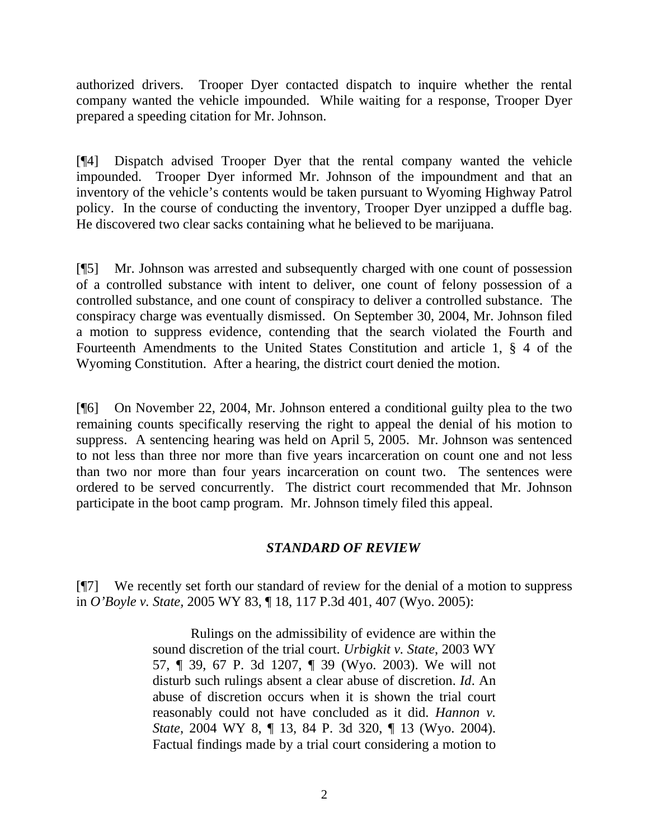authorized drivers. Trooper Dyer contacted dispatch to inquire whether the rental company wanted the vehicle impounded. While waiting for a response, Trooper Dyer prepared a speeding citation for Mr. Johnson.

[¶4] Dispatch advised Trooper Dyer that the rental company wanted the vehicle impounded. Trooper Dyer informed Mr. Johnson of the impoundment and that an inventory of the vehicle's contents would be taken pursuant to Wyoming Highway Patrol policy. In the course of conducting the inventory, Trooper Dyer unzipped a duffle bag. He discovered two clear sacks containing what he believed to be marijuana.

[¶5] Mr. Johnson was arrested and subsequently charged with one count of possession of a controlled substance with intent to deliver, one count of felony possession of a controlled substance, and one count of conspiracy to deliver a controlled substance. The conspiracy charge was eventually dismissed. On September 30, 2004, Mr. Johnson filed a motion to suppress evidence, contending that the search violated the Fourth and Fourteenth Amendments to the United States Constitution and article 1, § 4 of the Wyoming Constitution. After a hearing, the district court denied the motion.

[¶6] On November 22, 2004, Mr. Johnson entered a conditional guilty plea to the two remaining counts specifically reserving the right to appeal the denial of his motion to suppress. A sentencing hearing was held on April 5, 2005. Mr. Johnson was sentenced to not less than three nor more than five years incarceration on count one and not less than two nor more than four years incarceration on count two. The sentences were ordered to be served concurrently. The district court recommended that Mr. Johnson participate in the boot camp program. Mr. Johnson timely filed this appeal.

# *STANDARD OF REVIEW*

[¶7] We recently set forth our standard of review for the denial of a motion to suppress in *O'Boyle v. State,* 2005 WY 83, ¶ 18, 117 P.3d 401, 407 (Wyo. 2005):

> Rulings on the admissibility of evidence are within the sound discretion of the trial court. *Urbigkit v. State*, 2003 WY 57, ¶ 39, 67 P. 3d 1207, ¶ 39 (Wyo. 2003). We will not disturb such rulings absent a clear abuse of discretion. *Id*. An abuse of discretion occurs when it is shown the trial court reasonably could not have concluded as it did. *Hannon v. State*, 2004 WY 8, ¶ 13, 84 P. 3d 320, ¶ 13 (Wyo. 2004). Factual findings made by a trial court considering a motion to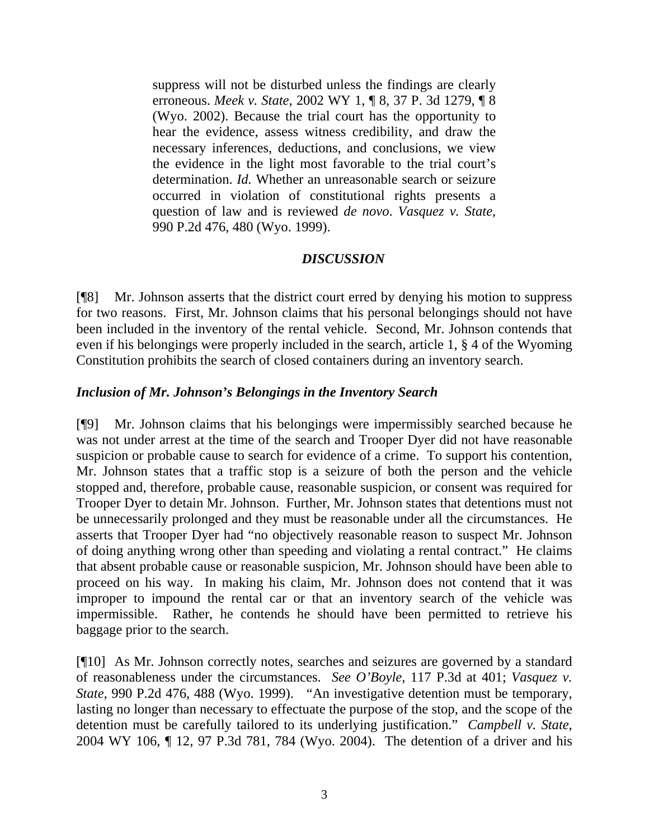suppress will not be disturbed unless the findings are clearly erroneous. *Meek v. State*, 2002 WY 1, ¶ 8, 37 P. 3d 1279, ¶ 8 (Wyo. 2002). Because the trial court has the opportunity to hear the evidence, assess witness credibility, and draw the necessary inferences, deductions, and conclusions, we view the evidence in the light most favorable to the trial court's determination. *Id.* Whether an unreasonable search or seizure occurred in violation of constitutional rights presents a question of law and is reviewed *de novo*. *Vasquez v. State*, 990 P.2d 476, 480 (Wyo. 1999).

# *DISCUSSION*

[¶8] Mr. Johnson asserts that the district court erred by denying his motion to suppress for two reasons. First, Mr. Johnson claims that his personal belongings should not have been included in the inventory of the rental vehicle. Second, Mr. Johnson contends that even if his belongings were properly included in the search, article 1, § 4 of the Wyoming Constitution prohibits the search of closed containers during an inventory search.

## *Inclusion of Mr. Johnson's Belongings in the Inventory Search*

[¶9] Mr. Johnson claims that his belongings were impermissibly searched because he was not under arrest at the time of the search and Trooper Dyer did not have reasonable suspicion or probable cause to search for evidence of a crime. To support his contention, Mr. Johnson states that a traffic stop is a seizure of both the person and the vehicle stopped and, therefore, probable cause, reasonable suspicion, or consent was required for Trooper Dyer to detain Mr. Johnson. Further, Mr. Johnson states that detentions must not be unnecessarily prolonged and they must be reasonable under all the circumstances. He asserts that Trooper Dyer had "no objectively reasonable reason to suspect Mr. Johnson of doing anything wrong other than speeding and violating a rental contract." He claims that absent probable cause or reasonable suspicion, Mr. Johnson should have been able to proceed on his way. In making his claim, Mr. Johnson does not contend that it was improper to impound the rental car or that an inventory search of the vehicle was impermissible. Rather, he contends he should have been permitted to retrieve his baggage prior to the search.

[¶10] As Mr. Johnson correctly notes, searches and seizures are governed by a standard of reasonableness under the circumstances. *See O'Boyle,* 117 P.3d at 401; *Vasquez v. State*, 990 P.2d 476, 488 (Wyo. 1999). "An investigative detention must be temporary, lasting no longer than necessary to effectuate the purpose of the stop, and the scope of the detention must be carefully tailored to its underlying justification." *Campbell v. State*, 2004 WY 106, ¶ 12, 97 P.3d 781, 784 (Wyo. 2004). The detention of a driver and his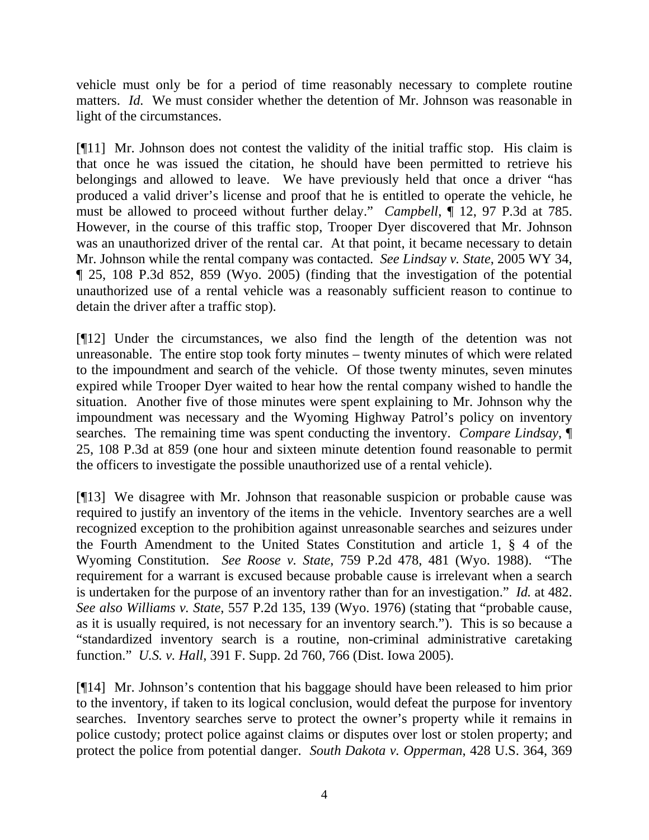vehicle must only be for a period of time reasonably necessary to complete routine matters. *Id.* We must consider whether the detention of Mr. Johnson was reasonable in light of the circumstances.

[¶11] Mr. Johnson does not contest the validity of the initial traffic stop. His claim is that once he was issued the citation, he should have been permitted to retrieve his belongings and allowed to leave. We have previously held that once a driver "has produced a valid driver's license and proof that he is entitled to operate the vehicle, he must be allowed to proceed without further delay." *Campbell*, ¶ 12, 97 P.3d at 785. However, in the course of this traffic stop, Trooper Dyer discovered that Mr. Johnson was an unauthorized driver of the rental car. At that point, it became necessary to detain Mr. Johnson while the rental company was contacted. *See Lindsay v. State*, 2005 WY 34, ¶ 25, 108 P.3d 852, 859 (Wyo. 2005) (finding that the investigation of the potential unauthorized use of a rental vehicle was a reasonably sufficient reason to continue to detain the driver after a traffic stop).

[¶12] Under the circumstances, we also find the length of the detention was not unreasonable. The entire stop took forty minutes – twenty minutes of which were related to the impoundment and search of the vehicle. Of those twenty minutes, seven minutes expired while Trooper Dyer waited to hear how the rental company wished to handle the situation. Another five of those minutes were spent explaining to Mr. Johnson why the impoundment was necessary and the Wyoming Highway Patrol's policy on inventory searches. The remaining time was spent conducting the inventory. *Compare Lindsay*, ¶ 25, 108 P.3d at 859 (one hour and sixteen minute detention found reasonable to permit the officers to investigate the possible unauthorized use of a rental vehicle).

[¶13] We disagree with Mr. Johnson that reasonable suspicion or probable cause was required to justify an inventory of the items in the vehicle. Inventory searches are a well recognized exception to the prohibition against unreasonable searches and seizures under the Fourth Amendment to the United States Constitution and article 1, § 4 of the Wyoming Constitution. *See Roose v. State*, 759 P.2d 478, 481 (Wyo. 1988). "The requirement for a warrant is excused because probable cause is irrelevant when a search is undertaken for the purpose of an inventory rather than for an investigation." *Id.* at 482. *See also Williams v. State*, 557 P.2d 135, 139 (Wyo. 1976) (stating that "probable cause, as it is usually required, is not necessary for an inventory search."). This is so because a "standardized inventory search is a routine, non-criminal administrative caretaking function." *U.S. v. Hall*, 391 F. Supp. 2d 760, 766 (Dist. Iowa 2005).

[¶14] Mr. Johnson's contention that his baggage should have been released to him prior to the inventory, if taken to its logical conclusion, would defeat the purpose for inventory searches. Inventory searches serve to protect the owner's property while it remains in police custody; protect police against claims or disputes over lost or stolen property; and protect the police from potential danger. *South Dakota v. Opperman*, 428 U.S. 364, 369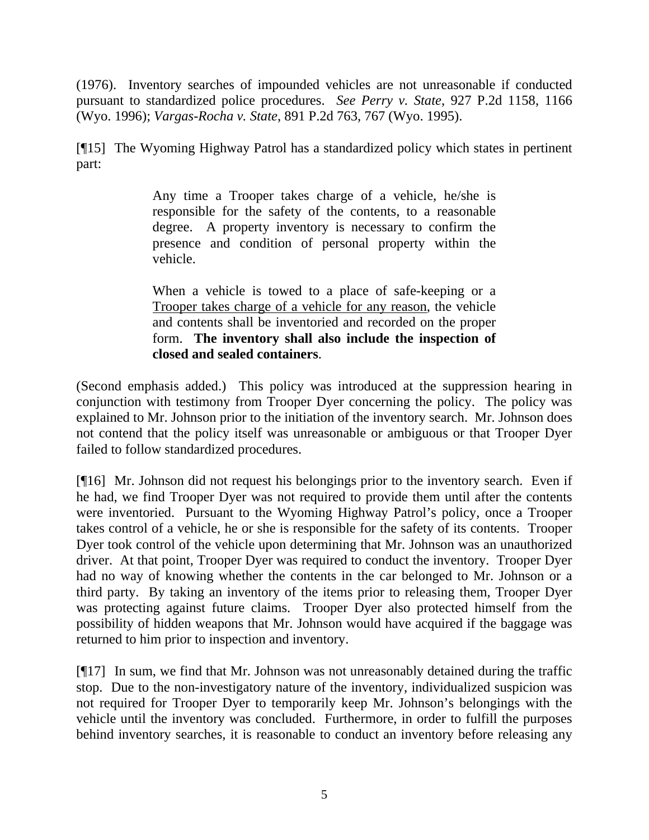(1976). Inventory searches of impounded vehicles are not unreasonable if conducted pursuant to standardized police procedures. *See Perry v. State*, 927 P.2d 1158, 1166 (Wyo. 1996); *Vargas-Rocha v. State*, 891 P.2d 763, 767 (Wyo. 1995).

[¶15] The Wyoming Highway Patrol has a standardized policy which states in pertinent part:

> Any time a Trooper takes charge of a vehicle, he/she is responsible for the safety of the contents, to a reasonable degree. A property inventory is necessary to confirm the presence and condition of personal property within the vehicle.

> When a vehicle is towed to a place of safe-keeping or a Trooper takes charge of a vehicle for any reason, the vehicle and contents shall be inventoried and recorded on the proper form. **The inventory shall also include the inspection of closed and sealed containers**.

(Second emphasis added.) This policy was introduced at the suppression hearing in conjunction with testimony from Trooper Dyer concerning the policy. The policy was explained to Mr. Johnson prior to the initiation of the inventory search. Mr. Johnson does not contend that the policy itself was unreasonable or ambiguous or that Trooper Dyer failed to follow standardized procedures.

[¶16] Mr. Johnson did not request his belongings prior to the inventory search. Even if he had, we find Trooper Dyer was not required to provide them until after the contents were inventoried. Pursuant to the Wyoming Highway Patrol's policy, once a Trooper takes control of a vehicle, he or she is responsible for the safety of its contents. Trooper Dyer took control of the vehicle upon determining that Mr. Johnson was an unauthorized driver. At that point, Trooper Dyer was required to conduct the inventory. Trooper Dyer had no way of knowing whether the contents in the car belonged to Mr. Johnson or a third party. By taking an inventory of the items prior to releasing them, Trooper Dyer was protecting against future claims. Trooper Dyer also protected himself from the possibility of hidden weapons that Mr. Johnson would have acquired if the baggage was returned to him prior to inspection and inventory.

[¶17] In sum, we find that Mr. Johnson was not unreasonably detained during the traffic stop. Due to the non-investigatory nature of the inventory, individualized suspicion was not required for Trooper Dyer to temporarily keep Mr. Johnson's belongings with the vehicle until the inventory was concluded. Furthermore, in order to fulfill the purposes behind inventory searches, it is reasonable to conduct an inventory before releasing any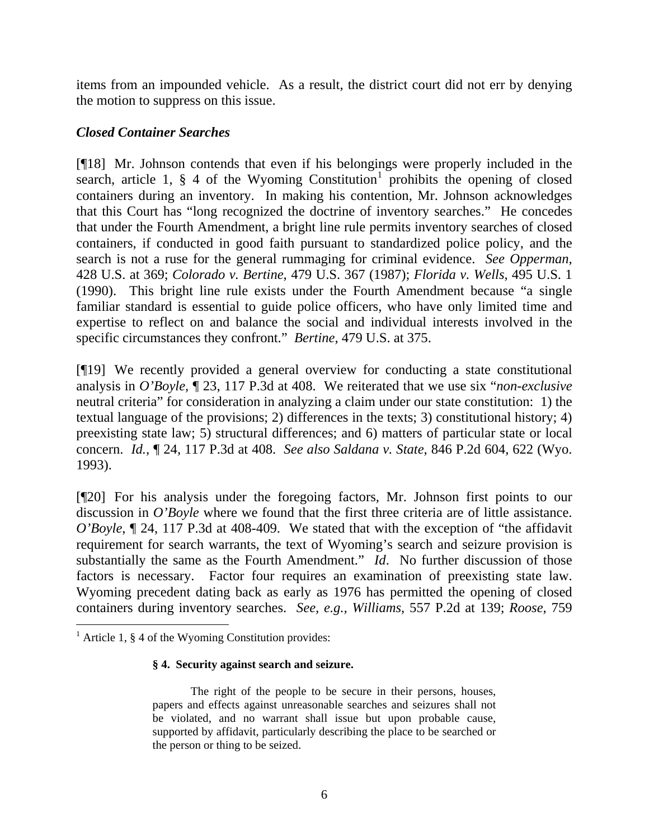items from an impounded vehicle. As a result, the district court did not err by denying the motion to suppress on this issue.

# *Closed Container Searches*

[¶18] Mr. Johnson contends that even if his belongings were properly included in the search, article [1](#page-6-0),  $\S$  4 of the Wyoming Constitution<sup>1</sup> prohibits the opening of closed containers during an inventory. In making his contention, Mr. Johnson acknowledges that this Court has "long recognized the doctrine of inventory searches." He concedes that under the Fourth Amendment, a bright line rule permits inventory searches of closed containers, if conducted in good faith pursuant to standardized police policy, and the search is not a ruse for the general rummaging for criminal evidence. *See Opperman*, 428 U.S. at 369; *Colorado v. Bertine*, 479 U.S. 367 (1987); *Florida v. Wells*, 495 U.S. 1 (1990). This bright line rule exists under the Fourth Amendment because "a single familiar standard is essential to guide police officers, who have only limited time and expertise to reflect on and balance the social and individual interests involved in the specific circumstances they confront." *Bertine*, 479 U.S. at 375.

[¶19] We recently provided a general overview for conducting a state constitutional analysis in *O'Boyle,* ¶ 23, 117 P.3d at 408. We reiterated that we use six "*non-exclusive* neutral criteria" for consideration in analyzing a claim under our state constitution: 1) the textual language of the provisions; 2) differences in the texts; 3) constitutional history; 4) preexisting state law; 5) structural differences; and 6) matters of particular state or local concern. *Id.*, ¶ 24, 117 P.3d at 408. *See also Saldana v. State*, 846 P.2d 604, 622 (Wyo. 1993).

[¶20] For his analysis under the foregoing factors, Mr. Johnson first points to our discussion in *O'Boyle* where we found that the first three criteria are of little assistance. *O'Boyle*, ¶ 24, 117 P.3d at 408-409. We stated that with the exception of "the affidavit requirement for search warrants, the text of Wyoming's search and seizure provision is substantially the same as the Fourth Amendment." *Id*. No further discussion of those factors is necessary. Factor four requires an examination of preexisting state law. Wyoming precedent dating back as early as 1976 has permitted the opening of closed containers during inventory searches. *See, e.g., Williams*, 557 P.2d at 139; *Roose*, 759

 $\overline{a}$ 

#### **§ 4. Security against search and seizure.**

 The right of the people to be secure in their persons, houses, papers and effects against unreasonable searches and seizures shall not be violated, and no warrant shall issue but upon probable cause, supported by affidavit, particularly describing the place to be searched or the person or thing to be seized.

<span id="page-6-0"></span><sup>&</sup>lt;sup>1</sup> Article 1,  $\S$  4 of the Wyoming Constitution provides: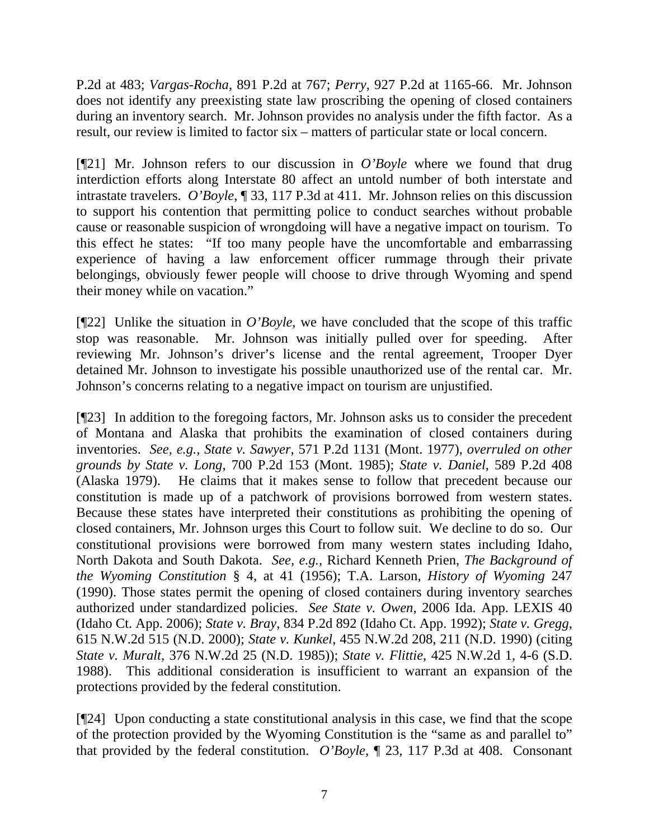P.2d at 483; *Vargas-Rocha*, 891 P.2d at 767; *Perry*, 927 P.2d at 1165-66. Mr. Johnson does not identify any preexisting state law proscribing the opening of closed containers during an inventory search. Mr. Johnson provides no analysis under the fifth factor. As a result, our review is limited to factor six – matters of particular state or local concern.

[¶21] Mr. Johnson refers to our discussion in *O'Boyle* where we found that drug interdiction efforts along Interstate 80 affect an untold number of both interstate and intrastate travelers. *O'Boyle*, ¶ 33, 117 P.3d at 411. Mr. Johnson relies on this discussion to support his contention that permitting police to conduct searches without probable cause or reasonable suspicion of wrongdoing will have a negative impact on tourism. To this effect he states: "If too many people have the uncomfortable and embarrassing experience of having a law enforcement officer rummage through their private belongings, obviously fewer people will choose to drive through Wyoming and spend their money while on vacation."

[¶22] Unlike the situation in *O'Boyle*, we have concluded that the scope of this traffic stop was reasonable. Mr. Johnson was initially pulled over for speeding. After reviewing Mr. Johnson's driver's license and the rental agreement, Trooper Dyer detained Mr. Johnson to investigate his possible unauthorized use of the rental car. Mr. Johnson's concerns relating to a negative impact on tourism are unjustified.

[¶23] In addition to the foregoing factors, Mr. Johnson asks us to consider the precedent of Montana and Alaska that prohibits the examination of closed containers during inventories. *See, e.g., State v. Sawyer*, 571 P.2d 1131 (Mont. 1977), *overruled on other grounds by State v. Long*, 700 P.2d 153 (Mont. 1985); *State v. Daniel*, 589 P.2d 408 (Alaska 1979). He claims that it makes sense to follow that precedent because our constitution is made up of a patchwork of provisions borrowed from western states. Because these states have interpreted their constitutions as prohibiting the opening of closed containers, Mr. Johnson urges this Court to follow suit. We decline to do so. Our constitutional provisions were borrowed from many western states including Idaho, North Dakota and South Dakota. *See, e.g.,* Richard Kenneth Prien, *The Background of the Wyoming Constitution* § 4, at 41 (1956); T.A. Larson, *History of Wyoming* 247 (1990). Those states permit the opening of closed containers during inventory searches authorized under standardized policies. *See State v. Owen*, 2006 Ida. App. LEXIS 40 (Idaho Ct. App. 2006); *State v. Bray*, 834 P.2d 892 (Idaho Ct. App. 1992); *State v. Gregg*, 615 N.W.2d 515 (N.D. 2000); *State v. Kunkel*, 455 N.W.2d 208, 211 (N.D. 1990) (citing *State v. Muralt*, 376 N.W.2d 25 (N.D. 1985)); *State v. Flittie*, 425 N.W.2d 1, 4-6 (S.D. 1988). This additional consideration is insufficient to warrant an expansion of the protections provided by the federal constitution.

[¶24] Upon conducting a state constitutional analysis in this case, we find that the scope of the protection provided by the Wyoming Constitution is the "same as and parallel to" that provided by the federal constitution. *O'Boyle,* ¶ 23, 117 P.3d at 408. Consonant